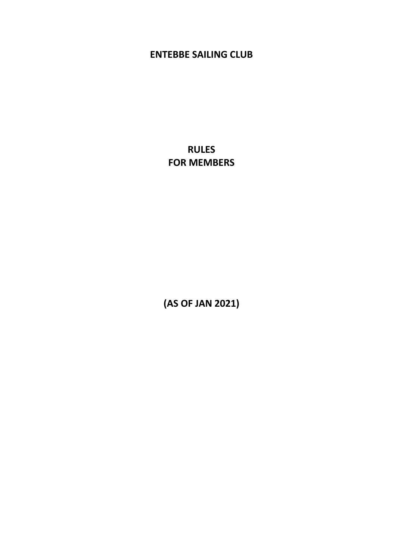# **ENTEBBE SAILING CLUB**

**RULES FOR MEMBERS** 

**(AS OF JAN 2021)**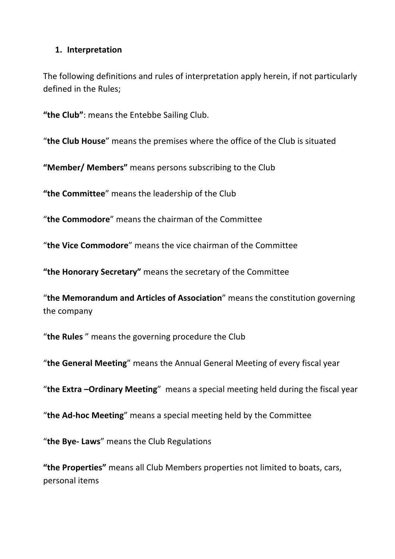#### **1. Interpretation**

The following definitions and rules of interpretation apply herein, if not particularly defined in the Rules;

**"the Club"**: means the Entebbe Sailing Club.

"**the Club House**" means the premises where the office of the Club is situated

**"Member/ Members"** means persons subscribing to the Club

**"the Committee**" means the leadership of the Club

"**the Commodore**" means the chairman of the Committee

"**the Vice Commodore**" means the vice chairman of the Committee

**"the Honorary Secretary"** means the secretary of the Committee

"**the Memorandum and Articles of Association**" means the constitution governing the company

"**the Rules** " means the governing procedure the Club

"**the General Meeting**" means the Annual General Meeting of every fiscal year

"**the Extra –Ordinary Meeting**" means a special meeting held during the fiscal year

"**the Ad-hoc Meeting**" means a special meeting held by the Committee

"**the Bye- Laws**" means the Club Regulations

**"the Properties"** means all Club Members properties not limited to boats, cars, personal items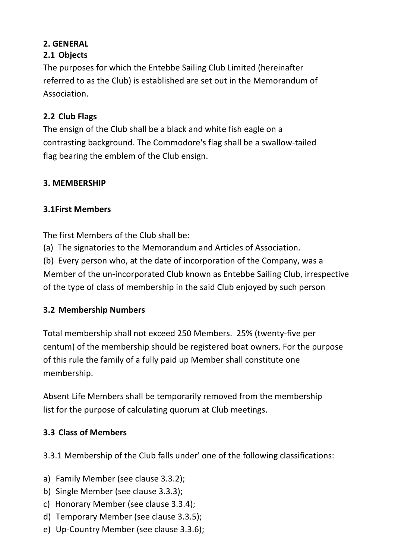#### **2. GENERAL 2.1 Objects**

The purposes for which the Entebbe Sailing Club Limited (hereinafter referred to as the Club) is established are set out in the Memorandum of Association.

# **2.2 Club Flags**

The ensign of the Club shall be a black and white fish eagle on a contrasting background. The Commodore's flag shall be a swallow-tailed flag bearing the emblem of the Club ensign.

### **3. MEMBERSHIP**

#### **3.1First Members**

The first Members of the Club shall be:

(a) The signatories to the Memorandum and Articles of Association.

(b) Every person who, at the date of incorporation of the Company, was a Member of the un-incorporated Club known as Entebbe Sailing Club, irrespective of the type of class of membership in the said Club enjoyed by such person

### **3.2 Membership Numbers**

Total membership shall not exceed 250 Members. 25% (twenty-five per centum) of the membership should be registered boat owners. For the purpose of this rule the family of a fully paid up Member shall constitute one membership.

Absent Life Members shall be temporarily removed from the membership list for the purpose of calculating quorum at Club meetings.

### **3.3 Class of Members**

3.3.1 Membership of the Club falls under' one of the following classifications:

- a) Family Member (see clause 3.3.2);
- b) Single Member (see clause 3.3.3);
- c) Honorary Member (see clause 3.3.4);
- d) Temporary Member (see clause 3.3.5);
- e) Up-Country Member (see clause 3.3.6);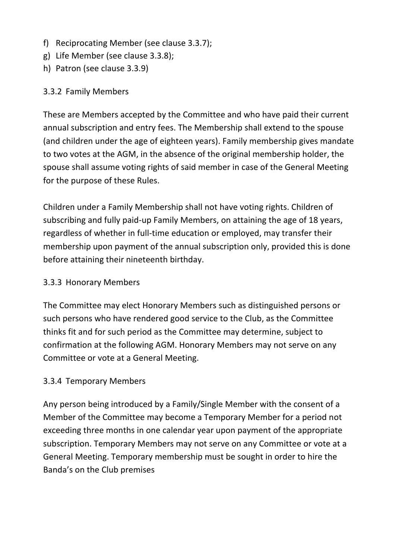- f) Reciprocating Member (see clause 3.3.7);
- g) Life Member (see clause 3.3.8);
- h) Patron (see clause 3.3.9)

### 3.3.2 Family Members

These are Members accepted by the Committee and who have paid their current annual subscription and entry fees. The Membership shall extend to the spouse (and children under the age of eighteen years). Family membership gives mandate to two votes at the AGM, in the absence of the original membership holder, the spouse shall assume voting rights of said member in case of the General Meeting for the purpose of these Rules.

Children under a Family Membership shall not have voting rights. Children of subscribing and fully paid-up Family Members, on attaining the age of 18 years, regardless of whether in full-time education or employed, may transfer their membership upon payment of the annual subscription only, provided this is done before attaining their nineteenth birthday.

# 3.3.3 Honorary Members

The Committee may elect Honorary Members such as distinguished persons or such persons who have rendered good service to the Club, as the Committee thinks fit and for such period as the Committee may determine, subject to confirmation at the following AGM. Honorary Members may not serve on any Committee or vote at a General Meeting.

### 3.3.4 Temporary Members

Any person being introduced by a Family/Single Member with the consent of a Member of the Committee may become a Temporary Member for a period not exceeding three months in one calendar year upon payment of the appropriate subscription. Temporary Members may not serve on any Committee or vote at a General Meeting. Temporary membership must be sought in order to hire the Banda's on the Club premises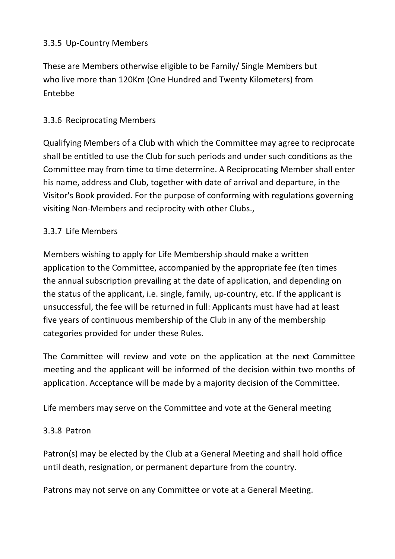### 3.3.5 Up-Country Members

These are Members otherwise eligible to be Family/ Single Members but who live more than 120Km (One Hundred and Twenty Kilometers) from Entebbe

# 3.3.6 Reciprocating Members

Qualifying Members of a Club with which the Committee may agree to reciprocate shall be entitled to use the Club for such periods and under such conditions as the Committee may from time to time determine. A Reciprocating Member shall enter his name, address and Club, together with date of arrival and departure, in the Visitor's Book provided. For the purpose of conforming with regulations governing visiting Non-Members and reciprocity with other Clubs.,

### 3.3.7 Life Members

Members wishing to apply for Life Membership should make a written application to the Committee, accompanied by the appropriate fee (ten times the annual subscription prevailing at the date of application, and depending on the status of the applicant, i.e. single, family, up-country, etc. If the applicant is unsuccessful, the fee will be returned in full: Applicants must have had at least five years of continuous membership of the Club in any of the membership categories provided for under these Rules.

The Committee will review and vote on the application at the next Committee meeting and the applicant will be informed of the decision within two months of application. Acceptance will be made by a majority decision of the Committee.

Life members may serve on the Committee and vote at the General meeting

### 3.3.8 Patron

Patron(s) may be elected by the Club at a General Meeting and shall hold office until death, resignation, or permanent departure from the country.

Patrons may not serve on any Committee or vote at a General Meeting.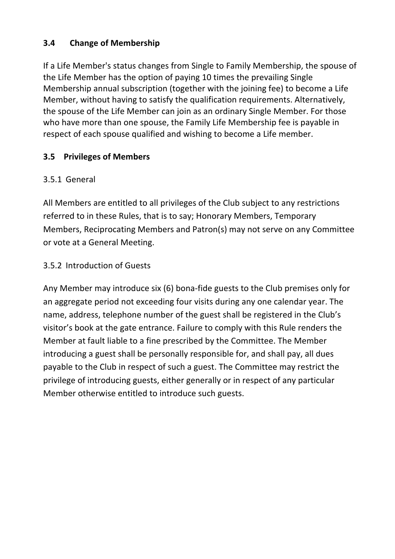## **3.4 Change of Membership**

If a Life Member's status changes from Single to Family Membership, the spouse of the Life Member has the option of paying 10 times the prevailing Single Membership annual subscription (together with the joining fee) to become a Life Member, without having to satisfy the qualification requirements. Alternatively, the spouse of the Life Member can join as an ordinary Single Member. For those who have more than one spouse, the Family Life Membership fee is payable in respect of each spouse qualified and wishing to become a Life member.

## **3.5 Privileges of Members**

### 3.5.1 General

All Members are entitled to all privileges of the Club subject to any restrictions referred to in these Rules, that is to say; Honorary Members, Temporary Members, Reciprocating Members and Patron(s) may not serve on any Committee or vote at a General Meeting.

### 3.5.2 Introduction of Guests

Any Member may introduce six (6) bona-fide guests to the Club premises only for an aggregate period not exceeding four visits during any one calendar year. The name, address, telephone number of the guest shall be registered in the Club's visitor's book at the gate entrance. Failure to comply with this Rule renders the Member at fault liable to a fine prescribed by the Committee. The Member introducing a guest shall be personally responsible for, and shall pay, all dues payable to the Club in respect of such a guest. The Committee may restrict the privilege of introducing guests, either generally or in respect of any particular Member otherwise entitled to introduce such guests.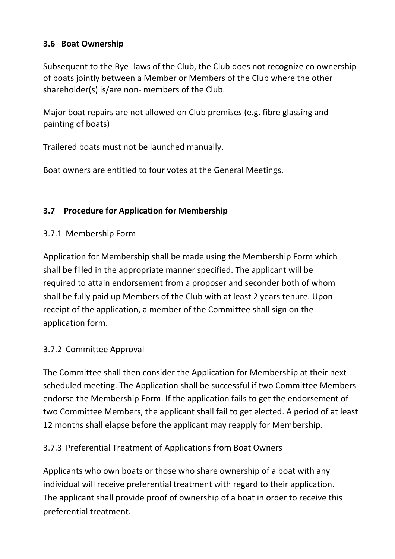### **3.6 Boat Ownership**

Subsequent to the Bye- laws of the Club, the Club does not recognize co ownership of boats jointly between a Member or Members of the Club where the other shareholder(s) is/are non- members of the Club.

Major boat repairs are not allowed on Club premises (e.g. fibre glassing and painting of boats)

Trailered boats must not be launched manually.

Boat owners are entitled to four votes at the General Meetings.

# **3.7 Procedure for Application for Membership**

## 3.7.1 Membership Form

Application for Membership shall be made using the Membership Form which shall be filled in the appropriate manner specified. The applicant will be required to attain endorsement from a proposer and seconder both of whom shall be fully paid up Members of the Club with at least 2 years tenure. Upon receipt of the application, a member of the Committee shall sign on the application form.

### 3.7.2 Committee Approval

The Committee shall then consider the Application for Membership at their next scheduled meeting. The Application shall be successful if two Committee Members endorse the Membership Form. If the application fails to get the endorsement of two Committee Members, the applicant shall fail to get elected. A period of at least 12 months shall elapse before the applicant may reapply for Membership.

# 3.7.3 Preferential Treatment of Applications from Boat Owners

Applicants who own boats or those who share ownership of a boat with any individual will receive preferential treatment with regard to their application. The applicant shall provide proof of ownership of a boat in order to receive this preferential treatment.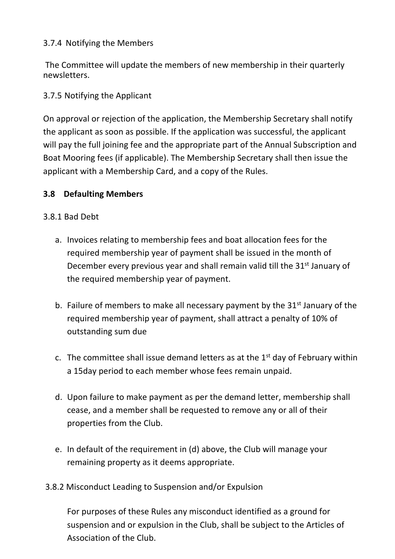### 3.7.4 Notifying the Members

The Committee will update the members of new membership in their quarterly newsletters.

# 3.7.5 Notifying the Applicant

On approval or rejection of the application, the Membership Secretary shall notify the applicant as soon as possible. If the application was successful, the applicant will pay the full joining fee and the appropriate part of the Annual Subscription and Boat Mooring fees (if applicable). The Membership Secretary shall then issue the applicant with a Membership Card, and a copy of the Rules.

## **3.8 Defaulting Members**

### 3.8.1 Bad Debt

- a. Invoices relating to membership fees and boat allocation fees for the required membership year of payment shall be issued in the month of December every previous year and shall remain valid till the 31<sup>st</sup> January of the required membership year of payment.
- b. Failure of members to make all necessary payment by the  $31<sup>st</sup>$  January of the required membership year of payment, shall attract a penalty of 10% of outstanding sum due
- c. The committee shall issue demand letters as at the  $1<sup>st</sup>$  day of February within a 15day period to each member whose fees remain unpaid.
- d. Upon failure to make payment as per the demand letter, membership shall cease, and a member shall be requested to remove any or all of their properties from the Club.
- e. In default of the requirement in (d) above, the Club will manage your remaining property as it deems appropriate.
- 3.8.2 Misconduct Leading to Suspension and/or Expulsion

For purposes of these Rules any misconduct identified as a ground for suspension and or expulsion in the Club, shall be subject to the Articles of Association of the Club.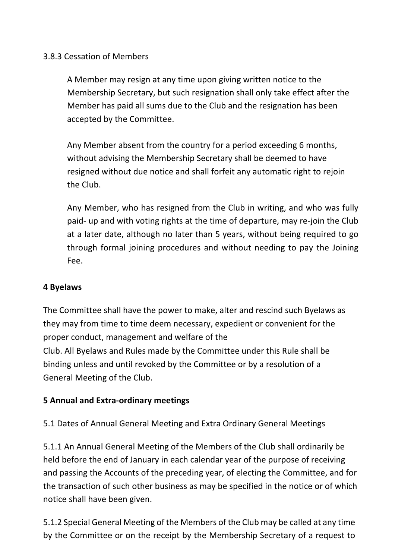#### 3.8.3 Cessation of Members

A Member may resign at any time upon giving written notice to the Membership Secretary, but such resignation shall only take effect after the Member has paid all sums due to the Club and the resignation has been accepted by the Committee.

Any Member absent from the country for a period exceeding 6 months, without advising the Membership Secretary shall be deemed to have resigned without due notice and shall forfeit any automatic right to rejoin the Club.

Any Member, who has resigned from the Club in writing, and who was fully paid- up and with voting rights at the time of departure, may re-join the Club at a later date, although no later than 5 years, without being required to go through formal joining procedures and without needing to pay the Joining Fee.

### **4 Byelaws**

The Committee shall have the power to make, alter and rescind such Byelaws as they may from time to time deem necessary, expedient or convenient for the proper conduct, management and welfare of the Club. All Byelaws and Rules made by the Committee under this Rule shall be binding unless and until revoked by the Committee or by a resolution of a General Meeting of the Club.

#### **5 Annual and Extra-ordinary meetings**

5.1 Dates of Annual General Meeting and Extra Ordinary General Meetings

5.1.1 An Annual General Meeting of the Members of the Club shall ordinarily be held before the end of January in each calendar year of the purpose of receiving and passing the Accounts of the preceding year, of electing the Committee, and for the transaction of such other business as may be specified in the notice or of which notice shall have been given.

5.1.2 Special General Meeting of the Members of the Club may be called at any time by the Committee or on the receipt by the Membership Secretary of a request to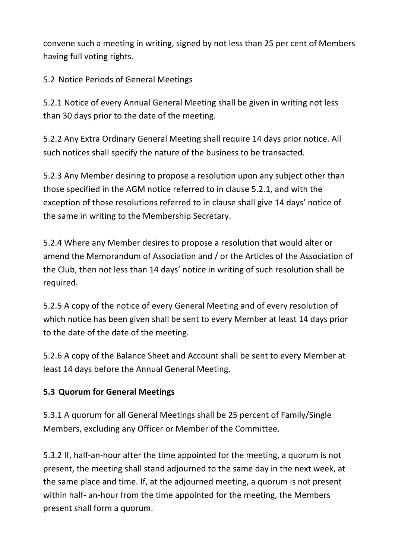convene such a meeting in writing, signed by not less than 25 per cent of Members having full voting rights.

5.2 Notice Periods of General Meetings

5.2.1 Notice of every Annual General Meeting shall be given in writing not less than 30 days prior to the date of the meeting.

5.2.2 Any Extra Ordinary General Meeting shall require 14 days prior notice. All such notices shall specify the nature of the business to be transacted.

5.2.3 Any Member desiring to propose a resolution upon any subject other than those specified in the AGM notice referred to in clause 5.2.1, and with the exception of those resolutions referred to in clause shall give 14 days' notice of the same in writing to the Membership Secretary.

5.2.4 Where any Member desires to propose a resolution that would alter or amend the Memorandum of Association and / or the Articles of the Association of the Club, then not less than 14 days' notice in writing of such resolution shall be required.

5.2.5 A copy of the notice of every General Meeting and of every resolution of which notice has been given shall be sent to every Member at least 14 days prior to the date of the date of the meeting.

5.2.6 A copy of the Balance Sheet and Account shall be sent to every Member at least 14 days before the Annual General Meeting.

# **5.3 Quorum for General Meetings**

5.3.1 A quorum for all General Meetings shall be 25 percent of Family/Single Members, excluding any Officer or Member of the Committee.

5.3.2 If, half-an-hour after the time appointed for the meeting, a quorum is not present, the meeting shall stand adjourned to the same day in the next week, at the same place and time. If, at the adjourned meeting, a quorum is not present within half- an-hour from the time appointed for the meeting, the Members present shall form a quorum.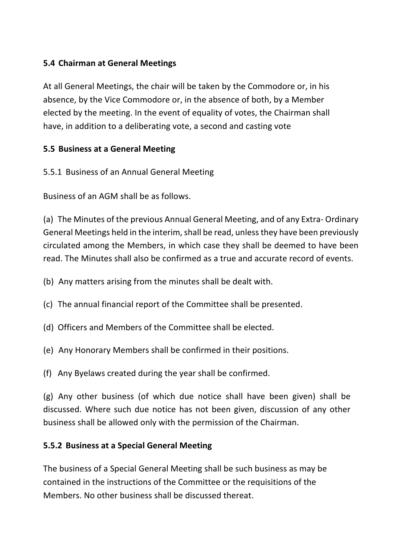### **5.4 Chairman at General Meetings**

At all General Meetings, the chair will be taken by the Commodore or, in his absence, by the Vice Commodore or, in the absence of both, by a Member elected by the meeting. In the event of equality of votes, the Chairman shall have, in addition to a deliberating vote, a second and casting vote

### **5.5 Business at a General Meeting**

5.5.1 Business of an Annual General Meeting

Business of an AGM shall be as follows.

(a) The Minutes of the previous Annual General Meeting, and of any Extra- Ordinary General Meetings held in the interim, shall be read, unless they have been previously circulated among the Members, in which case they shall be deemed to have been read. The Minutes shall also be confirmed as a true and accurate record of events.

- (b) Any matters arising from the minutes shall be dealt with.
- (c) The annual financial report of the Committee shall be presented.
- (d) Officers and Members of the Committee shall be elected.
- (e) Any Honorary Members shall be confirmed in their positions.
- (f) Any Byelaws created during the year shall be confirmed.

(g) Any other business (of which due notice shall have been given) shall be discussed. Where such due notice has not been given, discussion of any other business shall be allowed only with the permission of the Chairman.

### **5.5.2 Business at a Special General Meeting**

The business of a Special General Meeting shall be such business as may be contained in the instructions of the Committee or the requisitions of the Members. No other business shall be discussed thereat.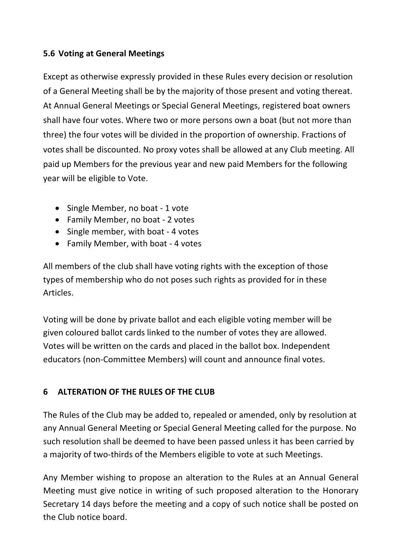### **5.6 Voting at General Meetings**

Except as otherwise expressly provided in these Rules every decision or resolution of a General Meeting shall be by the majority of those present and voting thereat. At Annual General Meetings or Special General Meetings, registered boat owners shall have four votes. Where two or more persons own a boat (but not more than three) the four votes will be divided in the proportion of ownership. Fractions of votes shall be discounted. No proxy votes shall be allowed at any Club meeting. All paid up Members for the previous year and new paid Members for the following year will be eligible to Vote.

- Single Member, no boat 1 vote
- Family Member, no boat 2 votes
- Single member, with boat 4 votes
- Family Member, with boat 4 votes

All members of the club shall have voting rights with the exception of those types of membership who do not poses such rights as provided for in these Articles.

Voting will be done by private ballot and each eligible voting member will be given coloured ballot cards linked to the number of votes they are allowed. Votes will be written on the cards and placed in the ballot box. Independent educators (non-Committee Members) will count and announce final votes.

# **6 ALTERATION OF THE RULES OF THE CLUB**

The Rules of the Club may be added to, repealed or amended, only by resolution at any Annual General Meeting or Special General Meeting called for the purpose. No such resolution shall be deemed to have been passed unless it has been carried by a majority of two-thirds of the Members eligible to vote at such Meetings.

Any Member wishing to propose an alteration to the Rules at an Annual General Meeting must give notice in writing of such proposed alteration to the Honorary Secretary 14 days before the meeting and a copy of such notice shall be posted on the Club notice board.